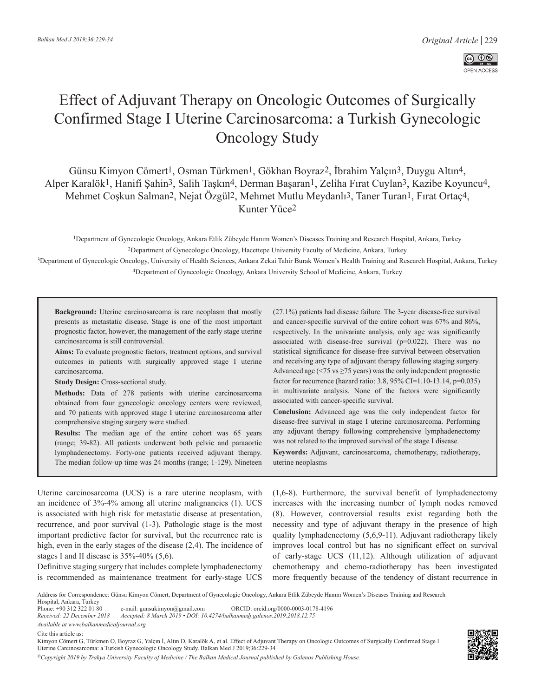

# Effect of Adjuvant Therapy on Oncologic Outcomes of Surgically Confirmed Stage I Uterine Carcinosarcoma: a Turkish Gynecologic Oncology Study

Günsu Kimyon Cömert1, Osman Türkmen1, Gökhan Boyraz2, İbrahim Yalçın3, Duygu Altın4, Alper Karalök1, Hanifi Şahin3, Salih Taşkın4, Derman Başaran1, Zeliha Fırat Cuylan3, Kazibe Koyuncu4, Mehmet Coşkun Salman<sup>2</sup>, Nejat Özgül<sup>2</sup>, Mehmet Mutlu Meydanlı<sup>3</sup>, Taner Turan<sup>1</sup>, Fırat Ortaç<sup>4</sup>, Kunter Yüce2

1Department of Gynecologic Oncology, Ankara Etlik Zübeyde Hanım Women's Diseases Training and Research Hospital, Ankara, Turkey 2Department of Gynecologic Oncology, Hacettepe University Faculty of Medicine, Ankara, Turkey

3Department of Gynecologic Oncology, University of Health Sciences, Ankara Zekai Tahir Burak Women's Health Training and Research Hospital, Ankara, Turkey 4Department of Gynecologic Oncology, Ankara University School of Medicine, Ankara, Turkey

**Background:** Uterine carcinosarcoma is rare neoplasm that mostly presents as metastatic disease. Stage is one of the most important prognostic factor, however, the management of the early stage uterine carcinosarcoma is still controversial.

**Aims:** To evaluate prognostic factors, treatment options, and survival outcomes in patients with surgically approved stage I uterine carcinosarcoma.

**Study Design:** Cross-sectional study.

**Methods:** Data of 278 patients with uterine carcinosarcoma obtained from four gynecologic oncology centers were reviewed, and 70 patients with approved stage I uterine carcinosarcoma after comprehensive staging surgery were studied.

**Results:** The median age of the entire cohort was 65 years (range; 39-82). All patients underwent both pelvic and paraaortic lymphadenectomy. Forty-one patients received adjuvant therapy. The median follow-up time was 24 months (range; 1-129). Nineteen (27.1%) patients had disease failure. The 3-year disease-free survival and cancer-specific survival of the entire cohort was 67% and 86%, respectively. In the univariate analysis, only age was significantly associated with disease-free survival (p=0.022). There was no statistical significance for disease-free survival between observation and receiving any type of adjuvant therapy following staging surgery. Advanced age ( $\le$ 75 vs  $\ge$ 75 years) was the only independent prognostic factor for recurrence (hazard ratio: 3.8, 95% CI=1.10-13.14, p=0.035) in multivariate analysis. None of the factors were significantly associated with cancer-specific survival.

**Conclusion:** Advanced age was the only independent factor for disease-free survival in stage I uterine carcinosarcoma. Performing any adjuvant therapy following comprehensive lymphadenectomy was not related to the improved survival of the stage I disease.

**Keywords:** Adjuvant, carcinosarcoma, chemotherapy, radiotherapy, uterine neoplasms

Uterine carcinosarcoma (UCS) is a rare uterine neoplasm, with an incidence of 3%-4% among all uterine malignancies (1). UCS is associated with high risk for metastatic disease at presentation, recurrence, and poor survival (1-3). Pathologic stage is the most important predictive factor for survival, but the recurrence rate is high, even in the early stages of the disease (2,4). The incidence of stages I and II disease is  $35\% - 40\%$  (5,6).

Definitive staging surgery that includes complete lymphadenectomy is recommended as maintenance treatment for early-stage UCS (1,6-8). Furthermore, the survival benefit of lymphadenectomy increases with the increasing number of lymph nodes removed (8). However, controversial results exist regarding both the necessity and type of adjuvant therapy in the presence of high quality lymphadenectomy (5,6,9-11). Adjuvant radiotherapy likely improves local control but has no significant effect on survival of early-stage UCS (11,12). Although utilization of adjuvant chemotherapy and chemo-radiotherapy has been investigated more frequently because of the tendency of distant recurrence in

Phone: +90 312 322 01 80 e-mail: gunsukimyon@gmail.com ORCID: orcid.org/0000-0003-0178-4196<br>Received: 22 December 2018 Accepted: 8 March 2019 • DOI: 10.4274/balkanmedi.galenos.2019.2018.12.75 *Received: 22 December 2018 Accepted: 8 March 2019 • DOI: 10.4274/balkanmedj.galenos.2019.2018.12.75*

Cite this article as:

*©Copyright 2019 by Trakya University Faculty of Medicine / The Balkan Medical Journal published by Galenos Publishing House.*



Address for Correspondence: Günsu Kimyon Cömert, Department of Gynecologic Oncology, Ankara Etlik Zübeyde Hanım Women's Diseases Training and Research

Hospital, Ankara, Turkey<br>Phone: +90 312 322 01 80

*Available at www.balkanmedicaljournal.org*

Kimyon Cömert G, Türkmen O, Boyraz G, Yalçın İ, Altın D, Karalök A, et al. Effect of Adjuvant Therapy on Oncologic Outcomes of Surgically Confirmed Stage I Uterine Carcinosarcoma: a Turkish Gynecologic Oncology Study. Balkan Med J 2019;36:229-34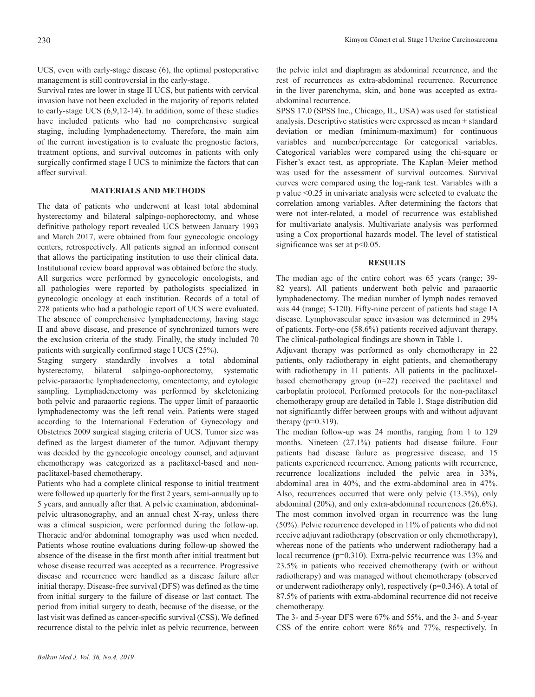UCS, even with early-stage disease (6), the optimal postoperative management is still controversial in the early-stage.

Survival rates are lower in stage II UCS, but patients with cervical invasion have not been excluded in the majority of reports related to early-stage UCS (6,9,12-14). In addition, some of these studies have included patients who had no comprehensive surgical staging, including lymphadenectomy. Therefore, the main aim of the current investigation is to evaluate the prognostic factors, treatment options, and survival outcomes in patients with only surgically confirmed stage I UCS to minimize the factors that can affect survival.

## **MATERIALS AND METHODS**

The data of patients who underwent at least total abdominal hysterectomy and bilateral salpingo-oophorectomy, and whose definitive pathology report revealed UCS between January 1993 and March 2017, were obtained from four gynecologic oncology centers, retrospectively. All patients signed an informed consent that allows the participating institution to use their clinical data. Institutional review board approval was obtained before the study. All surgeries were performed by gynecologic oncologists, and all pathologies were reported by pathologists specialized in gynecologic oncology at each institution. Records of a total of 278 patients who had a pathologic report of UCS were evaluated. The absence of comprehensive lymphadenectomy, having stage II and above disease, and presence of synchronized tumors were the exclusion criteria of the study. Finally, the study included 70 patients with surgically confirmed stage I UCS (25%).

Staging surgery standardly involves a total abdominal hysterectomy, bilateral salpingo-oophorectomy, systematic pelvic-paraaortic lymphadenectomy, omentectomy, and cytologic sampling. Lymphadenectomy was performed by skeletonizing both pelvic and paraaortic regions. The upper limit of paraaortic lymphadenectomy was the left renal vein. Patients were staged according to the International Federation of Gynecology and Obstetrics 2009 surgical staging criteria of UCS. Tumor size was defined as the largest diameter of the tumor. Adjuvant therapy was decided by the gynecologic oncology counsel, and adjuvant chemotherapy was categorized as a paclitaxel-based and nonpaclitaxel-based chemotherapy.

Patients who had a complete clinical response to initial treatment were followed up quarterly for the first 2 years, semi-annually up to 5 years, and annually after that. A pelvic examination, abdominalpelvic ultrasonography, and an annual chest X-ray, unless there was a clinical suspicion, were performed during the follow-up. Thoracic and/or abdominal tomography was used when needed. Patients whose routine evaluations during follow-up showed the absence of the disease in the first month after initial treatment but whose disease recurred was accepted as a recurrence. Progressive disease and recurrence were handled as a disease failure after initial therapy. Disease-free survival (DFS) was defined as the time from initial surgery to the failure of disease or last contact. The period from initial surgery to death, because of the disease, or the last visit was defined as cancer-specific survival (CSS). We defined recurrence distal to the pelvic inlet as pelvic recurrence, between

the pelvic inlet and diaphragm as abdominal recurrence, and the rest of recurrences as extra-abdominal recurrence. Recurrence in the liver parenchyma, skin, and bone was accepted as extraabdominal recurrence.

SPSS 17.0 (SPSS Inc., Chicago, IL, USA) was used for statistical analysis. Descriptive statistics were expressed as mean ± standard deviation or median (minimum-maximum) for continuous variables and number/percentage for categorical variables. Categorical variables were compared using the chi-square or Fisher's exact test, as appropriate. The Kaplan–Meier method was used for the assessment of survival outcomes. Survival curves were compared using the log-rank test. Variables with a p value <0.25 in univariate analysis were selected to evaluate the correlation among variables. After determining the factors that were not inter-related, a model of recurrence was established for multivariate analysis. Multivariate analysis was performed using a Cox proportional hazards model. The level of statistical significance was set at  $p<0.05$ .

### **RESULTS**

The median age of the entire cohort was 65 years (range; 39- 82 years). All patients underwent both pelvic and paraaortic lymphadenectomy. The median number of lymph nodes removed was 44 (range; 5-120). Fifty-nine percent of patients had stage IA disease. Lymphovascular space invasion was determined in 29% of patients. Forty-one (58.6%) patients received adjuvant therapy. The clinical-pathological findings are shown in Table 1.

Adjuvant therapy was performed as only chemotherapy in 22 patients, only radiotherapy in eight patients, and chemotherapy with radiotherapy in 11 patients. All patients in the paclitaxelbased chemotherapy group (n=22) received the paclitaxel and carboplatin protocol. Performed protocols for the non-paclitaxel chemotherapy group are detailed in Table 1. Stage distribution did not significantly differ between groups with and without adjuvant therapy  $(p=0.319)$ .

The median follow-up was 24 months, ranging from 1 to 129 months. Nineteen (27.1%) patients had disease failure. Four patients had disease failure as progressive disease, and 15 patients experienced recurrence. Among patients with recurrence, recurrence localizations included the pelvic area in 33%, abdominal area in 40%, and the extra-abdominal area in 47%. Also, recurrences occurred that were only pelvic (13.3%), only abdominal (20%), and only extra-abdominal recurrences (26.6%). The most common involved organ in recurrence was the lung (50%). Pelvic recurrence developed in 11% of patients who did not receive adjuvant radiotherapy (observation or only chemotherapy), whereas none of the patients who underwent radiotherapy had a local recurrence (p=0.310). Extra-pelvic recurrence was 13% and 23.5% in patients who received chemotherapy (with or without radiotherapy) and was managed without chemotherapy (observed or underwent radiotherapy only), respectively (p=0.346). A total of 87.5% of patients with extra-abdominal recurrence did not receive chemotherapy.

The 3- and 5-year DFS were 67% and 55%, and the 3- and 5-year CSS of the entire cohort were 86% and 77%, respectively. In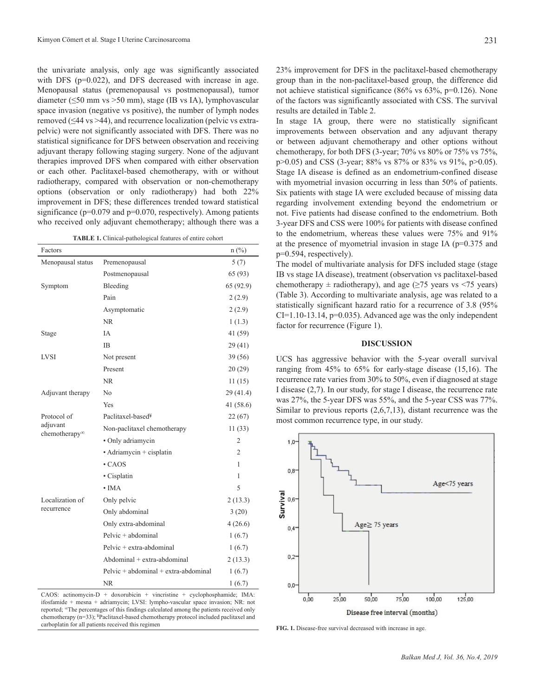the univariate analysis, only age was significantly associated with DFS (p=0.022), and DFS decreased with increase in age. Menopausal status (premenopausal vs postmenopausal), tumor diameter (≤50 mm vs >50 mm), stage (IB vs IA), lymphovascular space invasion (negative vs positive), the number of lymph nodes removed (≤44 vs >44), and recurrence localization (pelvic vs extrapelvic) were not significantly associated with DFS. There was no statistical significance for DFS between observation and receiving adjuvant therapy following staging surgery. None of the adjuvant therapies improved DFS when compared with either observation or each other. Paclitaxel-based chemotherapy, with or without radiotherapy, compared with observation or non-chemotherapy options (observation or only radiotherapy) had both 22% improvement in DFS; these differences trended toward statistical significance (p=0.079 and p=0.070, respectively). Among patients who received only adjuvant chemotherapy; although there was a

| <b>TABLE 1.</b> Clinical-pathological features of entire cohort |  |  |  |  |
|-----------------------------------------------------------------|--|--|--|--|
|-----------------------------------------------------------------|--|--|--|--|

| Factors                       |                                        | $n$ (%)   |
|-------------------------------|----------------------------------------|-----------|
| Menopausal status             | Premenopausal                          | 5(7)      |
|                               | Postmenopausal                         | 65 (93)   |
| Symptom                       | Bleeding                               | 65 (92.9) |
|                               | Pain                                   | 2(2.9)    |
|                               | Asymptomatic                           | 2(2.9)    |
|                               | <b>NR</b>                              | 1(1.3)    |
| Stage                         | <b>IA</b>                              | 41 (59)   |
|                               | IB                                     | 29(41)    |
| LVSI                          | Not present                            | 39(56)    |
|                               | Present                                | 20(29)    |
|                               | <b>NR</b>                              | 11(15)    |
| Adjuvant therapy              | No                                     | 29(41.4)  |
|                               | Yes                                    | 41 (58.6) |
| Protocol of                   | Paclitaxel-based <sup>¥</sup>          | 22(67)    |
| adjuvant                      | Non-paclitaxel chemotherapy            | 11(33)    |
| chemotherapy∞                 | · Only adriamycin                      | 2         |
|                               | · Adriamycin + cisplatin               | 2         |
|                               | $\cdot$ CAOS                           | 1         |
|                               | • Cisplatin                            | 1         |
|                               | $\cdot$ IMA                            | 5         |
| Localization of<br>recurrence | Only pelvic                            | 2(13.3)   |
|                               | Only abdominal                         | 3(20)     |
|                               | Only extra-abdominal                   | 4(26.6)   |
|                               | Pelvic + abdominal                     | 1(6.7)    |
|                               | Pelvic + extra-abdominal               | 1(6.7)    |
|                               | Abdominal + extra-abdominal            | 2(13.3)   |
|                               | $Pelvic + abdominal + extra-abdominal$ | 1(6.7)    |
|                               | <b>NR</b>                              | 1(6.7)    |

CAOS: actinomycin-D + doxorubicin + vincristine + cyclophosphamide; IMA: ifosfamide + mesna + adriamycin; LVSI: lympho-vascular space invasion; NR: not reported; ∞The percentages of this findings calculated among the patients received only chemotherapy (n=33); ¥Paclitaxel-based chemotherapy protocol included paclitaxel and carboplatin for all patients received this regimen **FIG. 1.** Disease-free survival decreased with increase in age.

23% improvement for DFS in the paclitaxel-based chemotherapy group than in the non-paclitaxel-based group, the difference did not achieve statistical significance (86% vs 63%, p=0.126). None of the factors was significantly associated with CSS. The survival results are detailed in Table 2.

In stage IA group, there were no statistically significant improvements between observation and any adjuvant therapy or between adjuvant chemotherapy and other options without chemotherapy, for both DFS (3-year; 70% vs 80% or 75% vs 75%, p>0.05) and CSS (3-year; 88% vs 87% or 83% vs 91%, p>0.05). Stage IA disease is defined as an endometrium-confined disease with myometrial invasion occurring in less than 50% of patients. Six patients with stage IA were excluded because of missing data regarding involvement extending beyond the endometrium or not. Five patients had disease confined to the endometrium. Both 3-year DFS and CSS were 100% for patients with disease confined to the endometrium, whereas these values were 75% and 91% at the presence of myometrial invasion in stage IA (p=0.375 and p=0.594, respectively).

The model of multivariate analysis for DFS included stage (stage IB vs stage IA disease), treatment (observation vs paclitaxel-based chemotherapy  $\pm$  radiotherapy), and age ( $\geq$ 75 years vs <75 years) (Table 3). According to multivariate analysis, age was related to a statistically significant hazard ratio for a recurrence of 3.8 (95%  $CI=1.10-13.14$ ,  $p=0.035$ ). Advanced age was the only independent factor for recurrence (Figure 1).

#### **DISCUSSION**

UCS has aggressive behavior with the 5-year overall survival ranging from 45% to 65% for early-stage disease (15,16). The recurrence rate varies from 30% to 50%, even if diagnosed at stage I disease (2,7). In our study, for stage I disease, the recurrence rate was 27%, the 5-year DFS was 55%, and the 5-year CSS was 77%. Similar to previous reports (2,6,7,13), distant recurrence was the most common recurrence type, in our study.

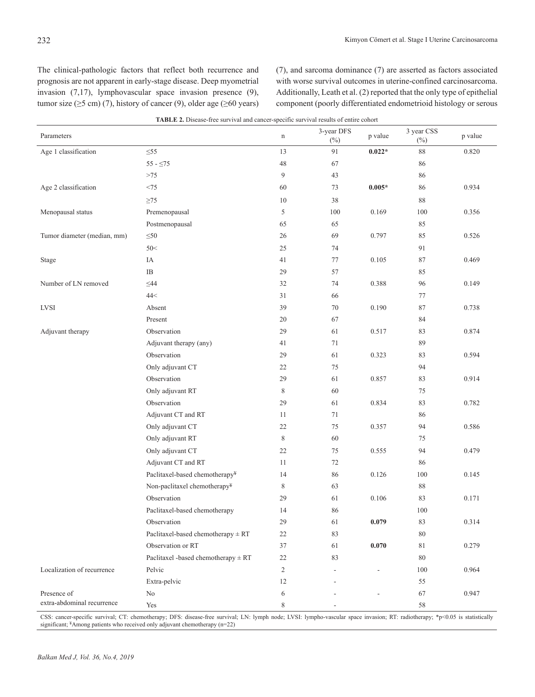The clinical-pathologic factors that reflect both recurrence and prognosis are not apparent in early-stage disease. Deep myometrial invasion (7,17), lymphovascular space invasion presence (9), tumor size  $(\geq 5 \text{ cm})$  (7), history of cancer (9), older age ( $\geq 60 \text{ years}$ ) (7), and sarcoma dominance (7) are asserted as factors associated with worse survival outcomes in uterine-confined carcinosarcoma. Additionally, Leath et al. (2) reported that the only type of epithelial component (poorly differentiated endometrioid histology or serous

| Parameters                  |                                         | n      | 3-year DFS<br>$(\%)$ | p value  | 3 year CSS<br>$(\%)$ | p value |
|-----------------------------|-----------------------------------------|--------|----------------------|----------|----------------------|---------|
| Age 1 classification        | $\leq 55$                               | 13     | 91                   | $0.022*$ | 88                   | 0.820   |
|                             | $55 - 575$                              | 48     | 67                   |          | 86                   |         |
|                             | $>\!\!75$                               | 9      | 43                   |          | 86                   |         |
| Age 2 classification        | $<75$                                   | 60     | 73                   | $0.005*$ | 86                   | 0.934   |
|                             | $\geq$ 75                               | 10     | 38                   |          | $88\,$               |         |
| Menopausal status           | Premenopausal                           | 5      | 100                  | 0.169    | 100                  | 0.356   |
|                             | Postmenopausal                          | 65     | 65                   |          | 85                   |         |
| Tumor diameter (median, mm) | $\leq 50$                               | 26     | 69                   | 0.797    | 85                   | 0.526   |
|                             | 50<                                     | 25     | 74                   |          | 91                   |         |
| Stage                       | IA                                      | 41     | $77\,$               | 0.105    | $87\,$               | 0.469   |
|                             | $\rm IB$                                | 29     | 57                   |          | 85                   |         |
| Number of LN removed        | $\leq44$                                | 32     | 74                   | 0.388    | 96                   | 0.149   |
|                             | 44<                                     | 31     | 66                   |          | 77                   |         |
| <b>LVSI</b>                 | Absent                                  | 39     | $70\,$               | 0.190    | 87                   | 0.738   |
|                             | Present                                 | $20\,$ | 67                   |          | 84                   |         |
| Adjuvant therapy            | Observation                             | 29     | 61                   | 0.517    | 83                   | 0.874   |
|                             | Adjuvant therapy (any)                  | 41     | 71                   |          | 89                   |         |
|                             | Observation                             | 29     | 61                   | 0.323    | 83                   | 0.594   |
|                             | Only adjuvant CT                        | 22     | 75                   |          | 94                   |         |
|                             | Observation                             | 29     | 61                   | 0.857    | 83                   | 0.914   |
|                             | Only adjuvant RT                        | 8      | 60                   |          | 75                   |         |
|                             | Observation                             | 29     | 61                   | 0.834    | 83                   | 0.782   |
|                             | Adjuvant CT and RT                      | 11     | 71                   |          | 86                   |         |
|                             | Only adjuvant CT                        | 22     | 75                   | 0.357    | 94                   | 0.586   |
|                             | Only adjuvant RT                        | 8      | 60                   |          | 75                   |         |
|                             | Only adjuvant CT                        | 22     | 75                   | 0.555    | 94                   | 0.479   |
|                             | Adjuvant CT and RT                      | 11     | 72                   |          | 86                   |         |
|                             | Paclitaxel-based chemotherapy¥          | 14     | 86                   | 0.126    | 100                  | 0.145   |
|                             | Non-paclitaxel chemotherapy¥            | 8      | 63                   |          | $88\,$               |         |
|                             | Observation                             | 29     | 61                   | 0.106    | 83                   | 0.171   |
|                             | Paclitaxel-based chemotherapy           | 14     | 86                   |          | 100                  |         |
|                             | Observation                             | 29     | 61                   | 0.079    | 83                   | 0.314   |
|                             | Paclitaxel-based chemotherapy $\pm$ RT  | 22     | 83                   |          | 80                   |         |
|                             | Observation or RT                       | 37     | 61                   | 0.070    | $8\sqrt{1}$          | 0.279   |
|                             | Paclitaxel -based chemotherapy $\pm RT$ | $22\,$ | 83                   |          | 80                   |         |
| Localization of recurrence  | Pelvic                                  | 2      |                      |          | 100                  | 0.964   |
|                             | Extra-pelvic                            | 12     |                      |          | 55                   |         |
| Presence of                 | No                                      | 6      |                      |          | 67                   | 0.947   |
| extra-abdominal recurrence  | Yes                                     | 8      |                      |          | 58                   |         |

CSS: cancer-specific survival; CT: chemotherapy; DFS: disease-free survival; LN: lymph node; LVSI: lympho-vascular space invasion; RT: radiotherapy; \*p<0.05 is statistically significant; <sup>¥</sup>Among patients who received only adjuvant chemotherapy (n=22)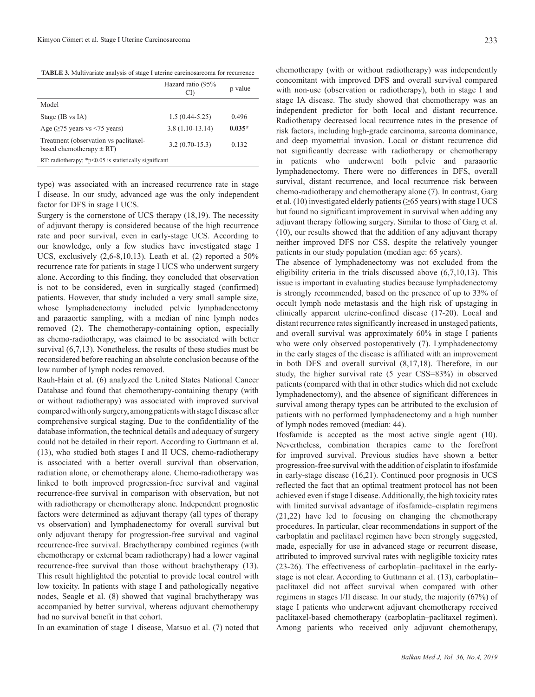**TABLE 3.** Multivariate analysis of stage I uterine carcinosarcoma for recurrence

|                                                                       | Hazard ratio (95%<br>CD. | p value  |  |  |
|-----------------------------------------------------------------------|--------------------------|----------|--|--|
| Model                                                                 |                          |          |  |  |
| Stage (IB vs IA)                                                      | $1.5(0.44 - 5.25)$       | 0.496    |  |  |
| Age ( $\geq$ 75 years vs <75 years)                                   | $3.8(1.10-13.14)$        | $0.035*$ |  |  |
| Treatment (observation vs paclitaxel-<br>based chemotherapy $\pm$ RT) | $3.2(0.70-15.3)$         | 0.132    |  |  |
| RT: radiotherapy; $*p<0.05$ is statistically significant              |                          |          |  |  |

type) was associated with an increased recurrence rate in stage I disease. In our study, advanced age was the only independent factor for DFS in stage I UCS.

Surgery is the cornerstone of UCS therapy (18,19). The necessity of adjuvant therapy is considered because of the high recurrence rate and poor survival, even in early-stage UCS. According to our knowledge, only a few studies have investigated stage I UCS, exclusively (2,6-8,10,13). Leath et al. (2) reported a 50% recurrence rate for patients in stage I UCS who underwent surgery alone. According to this finding, they concluded that observation is not to be considered, even in surgically staged (confirmed) patients. However, that study included a very small sample size, whose lymphadenectomy included pelvic lymphadenectomy and paraaortic sampling, with a median of nine lymph nodes removed (2). The chemotherapy-containing option, especially as chemo-radiotherapy, was claimed to be associated with better survival (6,7,13). Nonetheless, the results of these studies must be reconsidered before reaching an absolute conclusion because of the low number of lymph nodes removed.

Rauh-Hain et al. (6) analyzed the United States National Cancer Database and found that chemotherapy-containing therapy (with or without radiotherapy) was associated with improved survival compared with only surgery, among patients with stage I disease after comprehensive surgical staging. Due to the confidentiality of the database information, the technical details and adequacy of surgery could not be detailed in their report. According to Guttmann et al. (13), who studied both stages I and II UCS, chemo-radiotherapy is associated with a better overall survival than observation, radiation alone, or chemotherapy alone. Chemo-radiotherapy was linked to both improved progression-free survival and vaginal recurrence-free survival in comparison with observation, but not with radiotherapy or chemotherapy alone. Independent prognostic factors were determined as adjuvant therapy (all types of therapy vs observation) and lymphadenectomy for overall survival but only adjuvant therapy for progression-free survival and vaginal recurrence-free survival. Brachytherapy combined regimes (with chemotherapy or external beam radiotherapy) had a lower vaginal recurrence-free survival than those without brachytherapy (13). This result highlighted the potential to provide local control with low toxicity. In patients with stage I and pathologically negative nodes, Seagle et al. (8) showed that vaginal brachytherapy was accompanied by better survival, whereas adjuvant chemotherapy had no survival benefit in that cohort.

In an examination of stage 1 disease, Matsuo et al. (7) noted that

chemotherapy (with or without radiotherapy) was independently concomitant with improved DFS and overall survival compared with non-use (observation or radiotherapy), both in stage I and stage IA disease. The study showed that chemotherapy was an independent predictor for both local and distant recurrence. Radiotherapy decreased local recurrence rates in the presence of risk factors, including high-grade carcinoma, sarcoma dominance, and deep myometrial invasion. Local or distant recurrence did not significantly decrease with radiotherapy or chemotherapy in patients who underwent both pelvic and paraaortic lymphadenectomy. There were no differences in DFS, overall survival, distant recurrence, and local recurrence risk between chemo-radiotherapy and chemotherapy alone (7). In contrast, Garg et al. (10) investigated elderly patients ( $\geq$ 65 years) with stage I UCS but found no significant improvement in survival when adding any adjuvant therapy following surgery. Similar to those of Garg et al. (10), our results showed that the addition of any adjuvant therapy neither improved DFS nor CSS, despite the relatively younger patients in our study population (median age: 65 years).

The absence of lymphadenectomy was not excluded from the eligibility criteria in the trials discussed above (6,7,10,13). This issue is important in evaluating studies because lymphadenectomy is strongly recommended, based on the presence of up to 33% of occult lymph node metastasis and the high risk of upstaging in clinically apparent uterine-confined disease (17-20). Local and distant recurrence rates significantly increased in unstaged patients, and overall survival was approximately 60% in stage I patients who were only observed postoperatively (7). Lymphadenectomy in the early stages of the disease is affiliated with an improvement in both DFS and overall survival (8,17,18). Therefore, in our study, the higher survival rate (5 year CSS=83%) in observed patients (compared with that in other studies which did not exclude lymphadenectomy), and the absence of significant differences in survival among therapy types can be attributed to the exclusion of patients with no performed lymphadenectomy and a high number of lymph nodes removed (median: 44).

Ifosfamide is accepted as the most active single agent (10). Nevertheless, combination therapies came to the forefront for improved survival. Previous studies have shown a better progression-free survival with the addition of cisplatin to ifosfamide in early-stage disease (16,21). Continued poor prognosis in UCS reflected the fact that an optimal treatment protocol has not been achieved even if stage I disease. Additionally, the high toxicity rates with limited survival advantage of ifosfamide–cisplatin regimens (21,22) have led to focusing on changing the chemotherapy procedures. In particular, clear recommendations in support of the carboplatin and paclitaxel regimen have been strongly suggested, made, especially for use in advanced stage or recurrent disease, attributed to improved survival rates with negligible toxicity rates (23-26). The effectiveness of carboplatin–paclitaxel in the earlystage is not clear. According to Guttmann et al. (13), carboplatin– paclitaxel did not affect survival when compared with other regimens in stages I/II disease. In our study, the majority (67%) of stage I patients who underwent adjuvant chemotherapy received paclitaxel-based chemotherapy (carboplatin–paclitaxel regimen). Among patients who received only adjuvant chemotherapy,